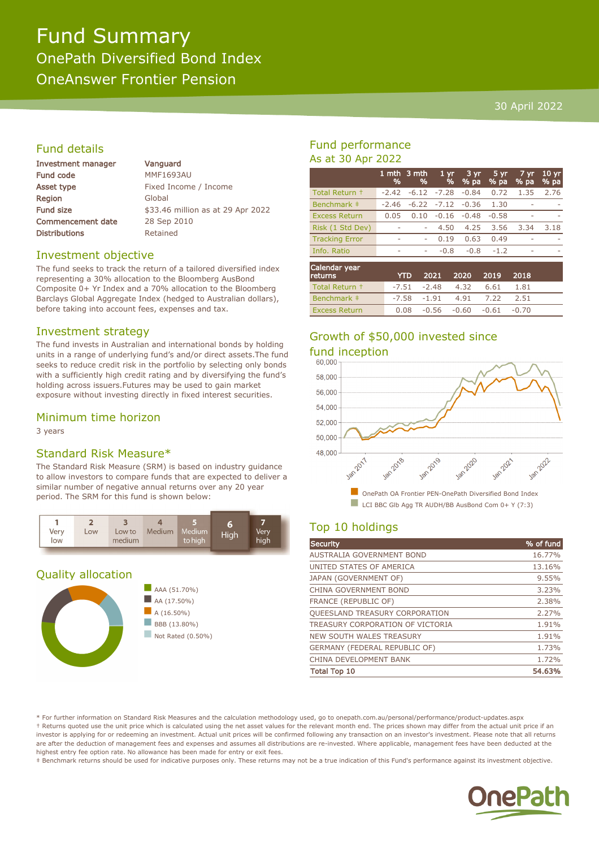# Fund Summary OnePath Diversified Bond Index OneAnswer Frontier Pension

#### 30 April 2022

## Fund details

| <b>Investment manager</b> | Vanguard                          |  |  |
|---------------------------|-----------------------------------|--|--|
| Fund code                 | <b>MMF1693AU</b>                  |  |  |
| Asset type                | Fixed Income / Income             |  |  |
| Region                    | Global                            |  |  |
| <b>Fund size</b>          | \$33.46 million as at 29 Apr 2022 |  |  |
| <b>Commencement date</b>  | 28 Sep 2010                       |  |  |
| <b>Distributions</b>      | Retained                          |  |  |
|                           |                                   |  |  |

#### Investment objective

The fund seeks to track the return of a tailored diversified index representing a 30% allocation to the Bloomberg AusBond Composite 0+ Yr Index and a 70% allocation to the Bloomberg Barclays Global Aggregate Index (hedged to Australian dollars), before taking into account fees, expenses and tax.

#### Investment strategy

The fund invests in Australian and international bonds by holding units in a range of underlying fund's and/or direct assets.The fund seeks to reduce credit risk in the portfolio by selecting only bonds with a sufficiently high credit rating and by diversifying the fund's holding across issuers.Futures may be used to gain market exposure without investing directly in fixed interest securities.

#### Minimum time horizon

3 years

#### Standard Risk Measure\*

The Standard Risk Measure (SRM) is based on industry guidance to allow investors to compare funds that are expected to deliver a similar number of negative annual returns over any 20 year period. The SRM for this fund is shown below:



#### Quality allocation





### Fund performance As at 30 Apr 2022

|                          | %       | 1 mth 3 mth<br>% | $1 \, \text{yr}$<br>% | $3 \overline{yr}$<br>% pa | $5 \,\mathrm{yr}$<br>% pa | 7 yr.<br>% pa | 10 <sub>yr</sub><br>% pa |
|--------------------------|---------|------------------|-----------------------|---------------------------|---------------------------|---------------|--------------------------|
| Total Return +           | $-2.42$ | $-6.12$          | $-7.28$               | $-0.84$                   | 0.72                      | 1.35          | 2.76                     |
| Benchmark ‡              | $-2.46$ | $-6.22$          | $-7.12$               | $-0.36$                   | 1.30                      | a.            | -                        |
| <b>Excess Return</b>     | 0.05    | 0.10             | $-0.16$               | $-0.48$                   | $-0.58$                   |               |                          |
| Risk (1 Std Dev)         |         | ۰                | 4.50                  | 4.25                      | 3.56                      | 3.34          | 3.18                     |
| <b>Tracking Error</b>    | ۰       | ٠                | 0.19                  | 0.63                      | 0.49                      |               | -                        |
| Info. Ratio              | ۰       | ۰                | $-0.8$                | $-0.8$                    | $-1.2$                    | ٠             | -                        |
| Calendar year<br>returns |         | YTD              | 2021                  | 2020                      | 2019                      | 2018          |                          |

| сеннэ                | $110$ $2021$ $2020$ $2013$ $2010$      |  |      |  |
|----------------------|----------------------------------------|--|------|--|
| Total Return +       | $-7.51$ $-2.48$ $4.32$ $6.61$          |  | 1.81 |  |
| Benchmark #          | $-7.58$ $-1.91$ $4.91$ $7.22$          |  | 2.51 |  |
| <b>Excess Return</b> | $0.08$ $-0.56$ $-0.60$ $-0.61$ $-0.70$ |  |      |  |

# Growth of \$50,000 invested since



## Top 10 holdings

| <b>Security</b>                      | % of fund |
|--------------------------------------|-----------|
| AUSTRALIA GOVERNMENT BOND            | 16.77%    |
| UNITED STATES OF AMERICA             | 13.16%    |
| JAPAN (GOVERNMENT OF)                | 9.55%     |
| CHINA GOVERNMENT BOND                | 3.23%     |
| <b>FRANCE (REPUBLIC OF)</b>          | 2.38%     |
| QUEESLAND TREASURY CORPORATION       | 2.27%     |
| TREASURY CORPORATION OF VICTORIA     | 1.91%     |
| <b>NEW SOUTH WALES TREASURY</b>      | 1.91%     |
| <b>GERMANY (FEDERAL REPUBLIC OF)</b> | 1.73%     |
| CHINA DEVELOPMENT BANK               | 1.72%     |
| <b>Total Top 10</b>                  | 54.63%    |
|                                      |           |

\* For further information on Standard Risk Measures and the calculation methodology used, go to onepath.com.au/personal/performance/product-updates.aspx † Returns quoted use the unit price which is calculated using the net asset values for the relevant month end. The prices shown may differ from the actual unit price if an investor is applying for or redeeming an investment. Actual unit prices will be confirmed following any transaction on an investor's investment. Please note that all returns are after the deduction of management fees and expenses and assumes all distributions are re-invested. Where applicable, management fees have been deducted at the highest entry fee option rate. No allowance has been made for entry or exit fees.

‡ Benchmark returns should be used for indicative purposes only. These returns may not be a true indication of this Fund's performance against its investment objective.